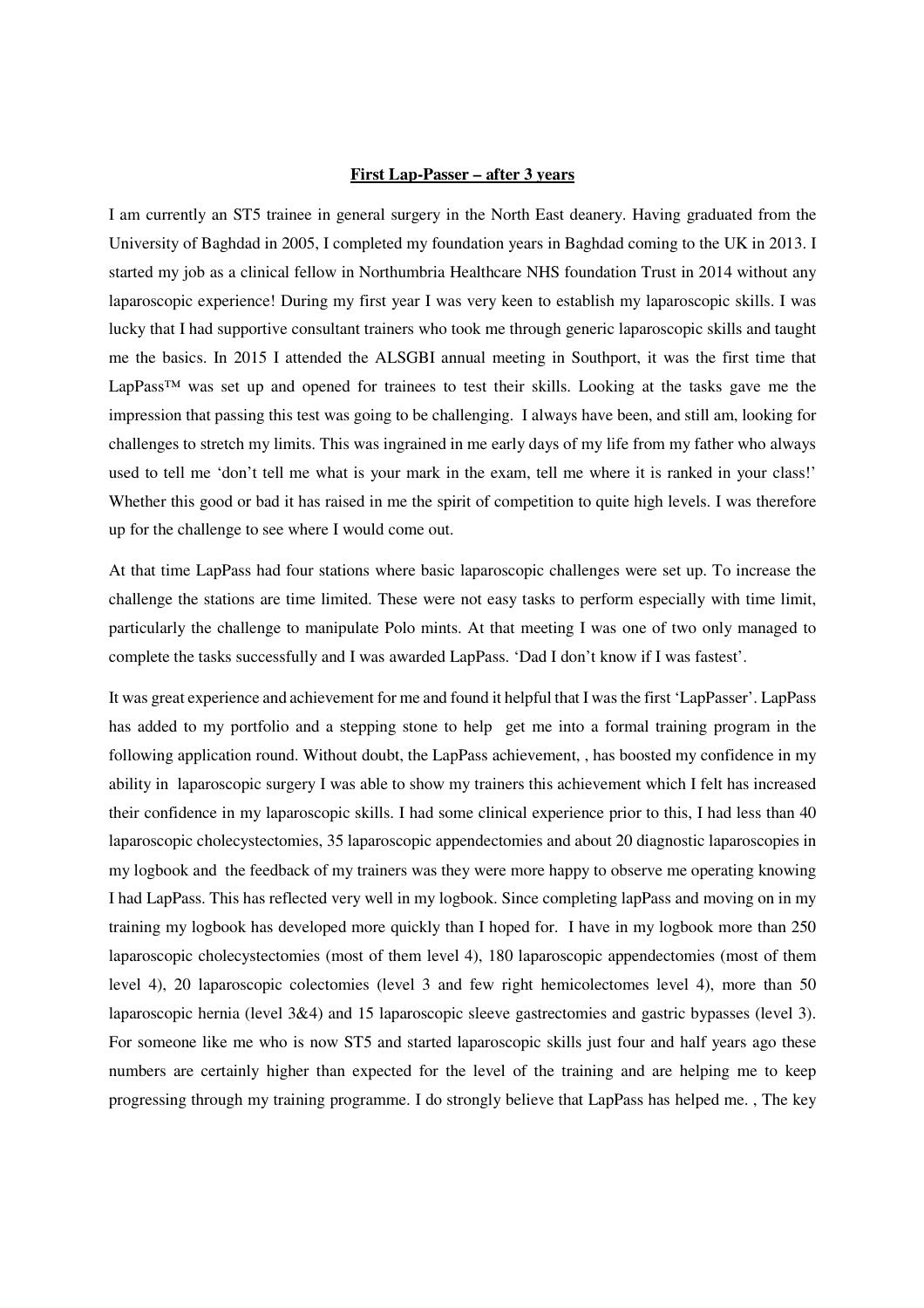## **First Lap-Passer – after 3 years**

I am currently an ST5 trainee in general surgery in the North East deanery. Having graduated from the University of Baghdad in 2005, I completed my foundation years in Baghdad coming to the UK in 2013. I started my job as a clinical fellow in Northumbria Healthcare NHS foundation Trust in 2014 without any laparoscopic experience! During my first year I was very keen to establish my laparoscopic skills. I was lucky that I had supportive consultant trainers who took me through generic laparoscopic skills and taught me the basics. In 2015 I attended the ALSGBI annual meeting in Southport, it was the first time that LapPass™ was set up and opened for trainees to test their skills. Looking at the tasks gave me the impression that passing this test was going to be challenging. I always have been, and still am, looking for challenges to stretch my limits. This was ingrained in me early days of my life from my father who always used to tell me 'don't tell me what is your mark in the exam, tell me where it is ranked in your class!' Whether this good or bad it has raised in me the spirit of competition to quite high levels. I was therefore up for the challenge to see where I would come out.

At that time LapPass had four stations where basic laparoscopic challenges were set up. To increase the challenge the stations are time limited. These were not easy tasks to perform especially with time limit, particularly the challenge to manipulate Polo mints. At that meeting I was one of two only managed to complete the tasks successfully and I was awarded LapPass. 'Dad I don't know if I was fastest'.

It was great experience and achievement for me and found it helpful that I was the first 'LapPasser'. LapPass has added to my portfolio and a stepping stone to help get me into a formal training program in the following application round. Without doubt, the LapPass achievement, , has boosted my confidence in my ability in laparoscopic surgery I was able to show my trainers this achievement which I felt has increased their confidence in my laparoscopic skills. I had some clinical experience prior to this, I had less than 40 laparoscopic cholecystectomies, 35 laparoscopic appendectomies and about 20 diagnostic laparoscopies in my logbook and the feedback of my trainers was they were more happy to observe me operating knowing I had LapPass. This has reflected very well in my logbook. Since completing lapPass and moving on in my training my logbook has developed more quickly than I hoped for. I have in my logbook more than 250 laparoscopic cholecystectomies (most of them level 4), 180 laparoscopic appendectomies (most of them level 4), 20 laparoscopic colectomies (level 3 and few right hemicolectomes level 4), more than 50 laparoscopic hernia (level 3&4) and 15 laparoscopic sleeve gastrectomies and gastric bypasses (level 3). For someone like me who is now ST5 and started laparoscopic skills just four and half years ago these numbers are certainly higher than expected for the level of the training and are helping me to keep progressing through my training programme. I do strongly believe that LapPass has helped me. , The key